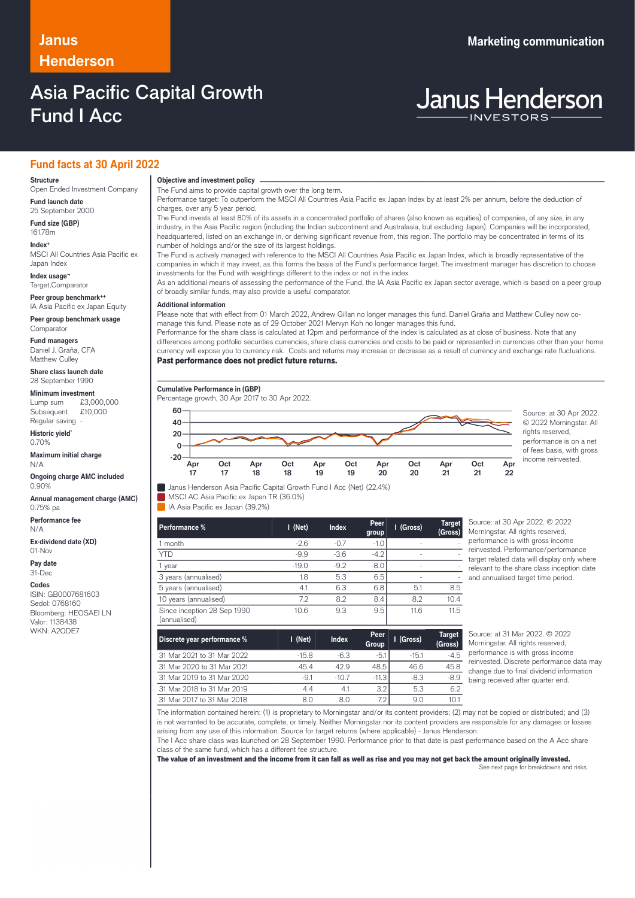# **Henderson**

### Asia Pacific Capital Growth Fund I Acc

### **Janus Marketing communication**

# **Janus Henderson**

### **Fund facts at 30 April 2022**

### **Structure**

Open Ended Investment Company **Fund launch date**

25 September 2000 **Fund size (GBP)**

161.78m **Index+** MSCI All Countries Asia Pacific ex

Japan Index

**Index usage¬** Target,Comparator

**Peer group benchmark++**

IA Asia Pacific ex Japan Equity **Peer group benchmark usage**

Comparator **Fund managers**

Daniel J. Graña, CFA Matthew Culley

**Share class launch date** 28 September 1990

**Minimum investment**<br>Lump sum £3,000,000

Lump sum Subsequent £10,000 Regular saving -

**Historic yield\*** 0.70%

**Maximum initial charge** N/A

**Ongoing charge AMC included** 0.90%

**Annual management charge (AMC)** 0.75% pa

**Performance fee** N/A

**Ex-dividend date (XD)**  $01-N<sub>0</sub>$ 

**Pay date**

31-Dec

**Codes** ISIN: GB0007681603 Sedol: 0768160 Bloomberg: HEOSAEI LN Valor: 1138438 WKN: A2QDE7

**Objective and investment policy** ──────────────────────────────────────────────────────────────────────────────────────────────────────────────────────────────────────────────────────────────────────────────────────────────────────────────────────────────────────────────────────────────────────────────────────────────────────────────────────────────────────────────────────────────────────────────────────────────────────────────────────────────────────────────────────────────────────────────────────────────────────────────────── The Fund aims to provide capital growth over the long term.

Performance target: To outperform the MSCI All Countries Asia Pacific ex Japan Index by at least 2% per annum, before the deduction of charges, over any 5 year period. The Fund invests at least 80% of its assets in a concentrated portfolio of shares (also known as equities) of companies, of any size, in any

industry, in the Asia Pacific region (including the Indian subcontinent and Australasia, but excluding Japan). Companies will be incorporated, headquartered, listed on an exchange in, or deriving significant revenue from, this region. The portfolio may be concentrated in terms of its number of holdings and/or the size of its largest holdings.

The Fund is actively managed with reference to the MSCI All Countries Asia Pacific ex Japan Index, which is broadly representative of the companies in which it may invest, as this forms the basis of the Fund's performance target. The investment manager has discretion to choose investments for the Fund with weightings different to the index or not in the index.

As an additional means of assessing the performance of the Fund, the IA Asia Pacific ex Japan sector average, which is based on a peer group of broadly similar funds, may also provide a useful comparator.

#### **Additional information**

Please note that with effect from 01 March 2022, Andrew Gillan no longer manages this fund. Daniel Graña and Matthew Culley now comanage this fund. Please note as of 29 October 2021 Mervyn Koh no longer manages this fund.

Performance for the share class is calculated at 12pm and performance of the index is calculated as at close of business. Note that any differences among portfolio securities currencies, share class currencies and costs to be paid or represented in currencies other than your home currency will expose you to currency risk. Costs and returns may increase or decrease as a result of currency and exchange rate fluctuations. Past performance does not predict future returns.

**I (Gross) Target**

**Cumulative Performance in (GBP)**

Percentage growth, 30 Apr 2017 to 30 Apr 2022.

**MSCI AC Asia Pacific ex Japan TR (36.0%)** IA Asia Pacific ex Japan (39.2%)



© 2022 Morningstar. All rights reserved. performance is on a net of fees basis, with gross income reinvested.

| 1.911911111119070                           | .       |        | group  | $\cdots$ | (Gross) |
|---------------------------------------------|---------|--------|--------|----------|---------|
| 1 month                                     | $-2.6$  | $-0.7$ | $-1.0$ | ۰        |         |
| <b>YTD</b>                                  | $-9.9$  | $-3.6$ | $-4.2$ | ۰        |         |
| year                                        | $-19.0$ | $-9.2$ | $-8.0$ | ۰        |         |
| 3 years (annualised)                        | 1.8     | 5.3    | 6.5    | ۰        |         |
| 5 years (annualised)                        | 4.1     | 6.3    | 6.8    | 5.1      | 8.5     |
| 10 years (annualised)                       | 7.2     | 8.2    | 8.4    | 8.2      | 10.4    |
| Since inception 28 Sep 1990<br>(annualised) | 10.6    | 9.3    | 9.5    | 11.6     | 11.5    |

Janus Henderson Asia Pacific Capital Growth Fund I Acc (Net) (22.4%)

**Performance % I (Net) Index Peer**

Morningstar. All rights reserved, performance is with gross income reinvested. Performance/performance target related data will display only where relevant to the share class inception date and annualised target time period.

Source: at 30 Apr 2022. © 2022

| Discrete year performance % | $I$ (Net) | <b>Index</b> | Peer<br>Group | I (Gross) | <b>Target</b><br>(Gross) |
|-----------------------------|-----------|--------------|---------------|-----------|--------------------------|
| 31 Mar 2021 to 31 Mar 2022  | $-158$    | $-6.3$       | $-5.1$        | $-15.1$   | $-4.5$                   |
| 31 Mar 2020 to 31 Mar 2021  | 45.4      | 429          | 48.5          | 46.6      | 45.8                     |
| 31 Mar 2019 to 31 Mar 2020  | $-91$     | $-10.7$      | $-11.3$       | $-8.3$    | $-8.9$                   |
| 31 Mar 2018 to 31 Mar 2019  | 4.4       | 4.1          | 3.2           | 5.3       | 6.2                      |
| 31 Mar 2017 to 31 Mar 2018  | 8.0       | 8.0          | 7.2           | 9.0       | 10.1                     |

Source: at 31 Mar 2022. © 2022 Morningstar. All rights reserved, performance is with gross income reinvested. Discrete performance data may change due to final dividend information being received after quarter end.

The information contained herein: (1) is proprietary to Morningstar and/or its content providers; (2) may not be copied or distributed; and (3) is not warranted to be accurate, complete, or timely. Neither Morningstar nor its content providers are responsible for any damages or losses arising from any use of this information. Source for target returns (where applicable) - Janus Henderson.

The I Acc share class was launched on 28 September 1990. Performance prior to that date is past performance based on the A Acc share class of the same fund, which has a different fee structure.

The value of an investment and the income from it can fall as well as rise and you may not get back the amount originally invested.

See next page for breakdowns and risks.